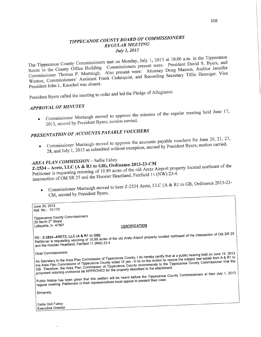#### *TIPPECANOE* co *UNTYBOARD* 0F *COIIIMISSIONERS REGULAR MEETING July* 1, *2013*

The Tippecanoe County Commissioners met on Monday, July 1, 2013 at 10:00 am. in the Tippecanoe Room in the County Office Building. Commissioners present were: President David S. Byers, and Commissioner Thomas P. Murtaugh. Also present were. Attorney Doug Masson, Auditor Jennifer Weston, Commissioners' Assistant Frank Cederquist, and Recording Secretary Tillie Hennigar. Vice President John L. Knochel was absent. '

President Byers called the meeting to order and led the Pledge of Allegiance.

### *APPROVAL* OF *MINUTES*

• Commissioner Murtaugh moved to approve the minutes of the regular meeting held June 17, 2013, second by President Byers; motion carried.

## **PRESENTATION OF ACCOUNTS PAYABLE VOUCHERS**

• Commissioner Murtaugh moved to approve the accounts payable vouchers for June 20, 21, 27,<br>Commissioner Murtaugh moved to approve the accounts payable vouchers for June 20, 21, 27, 28, and July 1, 2013 as submitted Without exception, second by President Byers; motion carried.

# *AREA PLAN COMMISSION* – Sallie Fahey<br>**Z-2534 – Aretz, LLC (A & R1 to GB), Ordinance 2013-23-CM**

**Z—2534** *—* **Aretz,** LLC (A **&** R1 to **GB), Ordinance 2013-23-CM**  Petitioner is requesting rezoning of 10.89 acres of the old Aretz Airport property located northeast of the intersection of Old SR 25 and the **Hoosier** Heartland, Fairfield 11 (NW) 23-4.

<sup>o</sup> Commissioner Murtaugh moved to hear Z-2534 Aretz, LLC (A & R1 to GB, Ordinance 2013-23-CM, second by President Byers.

| June 20, 2013<br>Ref. No.: 13-170                                                                                                                                                                                                                                                                                                                                                                                                                                                                                                                                                                                                                                                                                                             |  |
|-----------------------------------------------------------------------------------------------------------------------------------------------------------------------------------------------------------------------------------------------------------------------------------------------------------------------------------------------------------------------------------------------------------------------------------------------------------------------------------------------------------------------------------------------------------------------------------------------------------------------------------------------------------------------------------------------------------------------------------------------|--|
| <b>Tippecanoe County Commissioners</b><br>20 North 3 <sup>rd</sup> Street<br>Lafayette, In 47901<br><b>CERTIFICATION</b>                                                                                                                                                                                                                                                                                                                                                                                                                                                                                                                                                                                                                      |  |
| Petitioner is requesting rezoning of 10.89 acres of the old Aretz Airport property located northeast of the intersection of Old SR 25<br>and the Hoosier Heartland, Fairfield 11 (NW) 23-4                                                                                                                                                                                                                                                                                                                                                                                                                                                                                                                                                    |  |
| Dear Commissioners:<br>As Secretary to the Area Plan Commission of Tippecanoe County, I do hereby certify that at a public hearing held on June 19, 2013<br>the Area Plan Commission of Tippecanoe County voted 12 yes - 0 no on the motion to rezone the subject real estate from A & R1 to<br>GB. Therefore, the Area Plan Commission of Tippecanoe County recommends to the Tippecanoe County Commissioner that the<br>proposed rezoning ordinance be APPROVED for the property described in the attachment.<br>Public Notice has been given that this petition will be heard before the Tippecanoe County Commissioners at their July 1, 2013<br>regular meeting. Petitioners or their representatives must appear to present their case. |  |
| Sincerely,                                                                                                                                                                                                                                                                                                                                                                                                                                                                                                                                                                                                                                                                                                                                    |  |
| Sallie Dell Fahey<br><b>Executive Director</b>                                                                                                                                                                                                                                                                                                                                                                                                                                                                                                                                                                                                                                                                                                |  |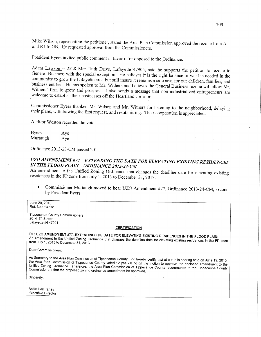Mike Wilson, representing the petitioner, stated the Area Plan Commission approved the rezone from A and R1 to GB. He requested approval from the Commissioners.

President Byers invited public comment in favor of or opposed to the Ordinance.

Adam Lawson - 2528 Mar Ruth Drive, Lafayette 47905, said he supports the petition to rezone to General Business with the special exception. He believes it is the right balance of what is needed in the community to grow the

Commissioner Byers thanked Mr. Wilson and Mr. Withers for listening 'to the neighborhood, delaying their plans, withdrawing the first request, and resubmitting. Their cooperation is appreciated.

Auditor Weston recorded the **vote.** 

Byers Aye Murtaugh Aye

Ordinance 2013-23-CM passed 2-0.

# UZO *AMENDMENT #* 77 — *EXTENDING* THE DA TE FOR ELE VA *TING EXISTING RESIDENCES* ' IN THE *FLOOD PLAIN* — *ORDINANCE 2013-24-CM*

An **amendment** to the Unified Zoning Ordinance **that** changes the deadline date for elevating existing residences in the FP zone from July 1, 2013 to December 31, 2013.

0" Commissioner Murtaugh moved to hear UZO **Amendment** #77, Ordinance 2013-24-CM, second by President Byers.

**June** 20, 2013 Ref. No.: **13-161** 

**Tippecanoe County Commissioners** 20 N. 3"1 **Street Lafayette** IN 47901

#### **CERTIFICATION**

RE: UZO AMENDMENT #77--EXTENDING THE DATE FOR ELEVATING EXISTING RESIDENCES IN THE FLOOD PLAIN:<br>An amendment to the Unified Zoning Ordinance that changes the deadline date for elevating existing residences in the FP zone<br>f

Dear **Commissioners:** 

As Secretary to the Area Plan **Commission** of **Tippecanoe** County. **I** do hereby **certify** that at a **pubflc** hearing held on **June** 19,2013, Uni the Area Plan Commission of Tippecanoe County voted 12 yes - 0 no on the motion to approve the enclosed amendment to the<br>Unified Zoning Ordinance. Therefore, the Area Plan Commission of Tippecanoe County recommends to the

Sincerely, *'* 

Sallie Dell **Fahey** Executive Director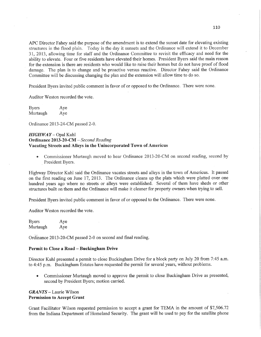AFC Director Fahey said the purpose of the amendment is to extend the sunset date for elevating existing structures in the flood plain. Today is the day it sunsets and the Ordinance will extend it to December 31, 2013, allowing time for staff and the Ordinance Committee to revisit the efficacy and need for the ability to elevate. Four or five residents have elevated their homes. President Byers said the main reason ' for the extension is there are residents who would like to raise their homes but do not have proof of **flood**  damage. The plan is to change and be proactive versus reactive. Director Fahey said the Ordinance Committee will be discussing changing the plan and the extension will allow time to do so.

President Byers invited public comment in favor of or opposed to the Ordinance. There were none.

Auditor Weston recorded the vote.

Byers Aye Murtaugh Aye

Ordinance 2013—24-CM passed 2-0.

#### *HIGHWAY—* Opal Kuhl **' Ordinance 2013-20-CM** *— Second Reading*  **Vacating Streets** and **'Alleys** in the **Unincorporated Town** of **Americus**

• Commissioner Murtaugh moved to hear Ordinance 2013-20-CM on second reading, second by *'* President **Byers.** 

Highway Director Kuhl **said** the Ordinance vacates streets and alleys in the town of Americus. It passe<sup>d</sup> on the first reading on June 17, 2013. The Ordinance cleans up the plats which were platted over one *\_* hundred years ago where no streets or alleys were established. Several of **them** have sheds or other structures built on them and the Ordinance will make it cleaner for property owners when trying to sell.

President Byers invited public comment in favor of or opposed to the Ordinance. There were none.

Auditor Weston recorded the vote.

Byers Aye Murtaugh Aye

Ordinance 2013-20-CM passed 2-0 on second and final reading.

#### **Permit** to **Close a Road** — **Buckingham Drive**

Director Kuhl presented a permit to close Buckingham Drive for a block party on July 20 from 7:45 a.m. to 4:45 p.m. Buckingham Estates have requested the permit for several years, without problems.

**0** Commissioner Murtaugh moved to approve the permit to close Buckingham Drive as presented, second by President Byers; motion carried.

#### *GRANTS* **—** Laurie Wilson **Permission** to **Accept Grant**

Grant Facilitator Wilson requested permission to accept a grant for TEMA in the amount of \$7,506.72 from the Indiana Department of Homeland Security. The grant will be used to pay for the satellite phone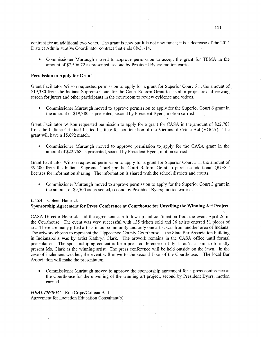$\leq$ 

contract for an additional two years. The grant is new but it is not new funds; it is a decrease of the 2014 District Administrative Coordinator contract that ends 08/31/14.

**0** Commissioner Murtaugh moved to approve permission to accept the grant for TEMA in the amount of \$7,506.72 as presented, second by President Byers; motion carried.

#### Permission to **Apply** for **Grant**

Grant Facilitator Wilson requested permission to apply for a grant for Superior Court 6 in the amount of \$19,380 from the Indiana Supreme Court for the Court Reform Grant to install a projector and viewing screen for jurors and other participants in the courtroom to review evidence and Videos.

**0** Commissioner Murtaugh moved to approve permission to apply for the Superior Court 6 grant in the amount of \$19,3 80 as presented, second by President Byers; motion carried.

Grant Facilitator Wilson requested permission to apply for a grant for CASA in the amount of \$22,768 from the Indiana Criminal Justice Institute for continuation of the Victims of Crime Act (VOCA). The grant will have a \$5,692 match.

• Commissioner Murtaugh moved to approve permission to apply for the CASA grant in the amount of \$22,768 as presented, second by President Byers; motion carried.

Grant Facilitator Wilson requested permission to apply for a grant for Superior Court 3 in the amount of \$9,500 from the Indiana Supreme Court for the Court Reform Grant to purchase additional QUEST licenses for information sharing. The information is shared with the school districts and courts.

**0** Commissioner Murtaugh moved to approve permission to apply for the Superior Court 3 grant in the amount of \$9,500 as presented, second by President Byers; motion carried.

#### ' *CASA* **—** Coleen Hamrick **Sponsorship Agreement** for **Press Conference** at **Courthouse** for Unveiling the Winning Art **Project**

CASA Director Hamrick said the agreement is a follow-up and continuation from the event April 26 in the Courthouse. The event was Very successful with 135 tickets sold and 36 artists entered 51 pieces of art. There are many gifted artists in our community and only one artist was from another area of Indiana. The artwork chosen to represent the Tippecanoe County Courthouse at the State Bar Association building in Indianapolis was by artist Kathryn Clark. The artwork remains in the CASA office until formal presentation. The sponsorship agreement is for a press conference on July 15 at 2:15 p.m. to formally present Ms. Clark as the Winning artist. The press conference will be held outside on the lawn. In the case of inclement weather, the event will move to the second floor of the Courthouse. The local Bar Association will make the presentation.

**0** Commissioner Murtaugh moved to approve the sponsorship agreement for a press conference at the Courthouse for the unveiling of the **winning** art project, second by President Byers; motion carried.

HEALTH/WIC - Ron Cripe/Colleen Batt Agreement for Lactation Education Consultant(s)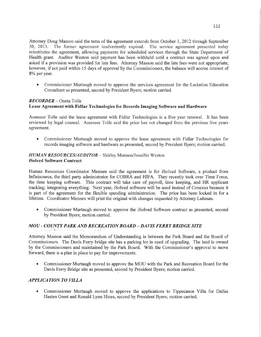Attorney Doug Masson said the term of the agreement extends from October 1, 2012 through September 30, 2013. The former agreement inadvertently expired. The service agreement presented today reinstitutes the agreement, allowing payments for scheduled services through the State Department of Health grant. Auditor Weston said payment has been withheld until a contract was agreed upon and asked if a provision was provided for late fees. Attorney Masson said the late fees were not appropriate; however, if not paid within 15 days of approval by the Commissioners, the balance will accrue interest of 8% per year. *.* 

**0** Commissioner Murtaugh moved to approve the services agreement for the Lactation Education Consultant as presented, second by President Byers; motion carried.

#### *RECORDER —* Oneta Tolle **Lease** Agreement **with Fidlar** Technologies for **Records** Imaging **Software** and **Hardware**

Assessor Tolle said the lease agreement with Fidlar Technologies is a five year renewal. It has been reviewed by legal counsel. Assessor Tolle said the price has not changed from the previous five years agreement.

**0** Commissioner Murtaugh moved to approve the lease agreement with Fidlar Technologies for records imaging software and hardware as presented, second by President Byers; motion carried.

#### *HUMAN RESO URCES/A* UDI TOR **—** Shirley Mennen/Jennifer Weston iSolved **Software Contract**

Human Resources Coordinator Mennen said the agreement is for iSolved Software, a product from Infinisource, the third party administrator for COBRA and **HIPA.** They recently took over Time Force, the time keeping software. **This** contract will take care of payroll, time keeping, and HR applicant tracking; integrating everything. Next year, iSolved software will be used instead of Conexus because it is part of the agreement for the flexible spending administration. The price has been locked in for <sup>a</sup> lifetime. Coordinator Mennen will print the original with changes requested by Attorney Luhman.

**0** Commissioner Murtaugh moved to approve the iSolved Software contract as presented, second by President Byers; motion carried.

#### *MOU- COUNTYPARKAND RECREATIONBOARD DAVIS FERRYBRIDGE SITE*

Attorney Masson said the Memorandum of Understanding is between the Park Board and the Board of Commissioners. The Davis Ferry bridge site has a parking lot in need of upgrading. The land is owned by the Commissioners and maintained by the Park Board. With the Commissioner's approval to move forward, there is a plan in place to pay for improvements.

**0** Commissioner Murtaugh moved to approve the MOU with the Park and Recreation Board for the Davis Ferry Bridge site as presented, second by President Byers; motion carried.

#### *APPLICATION TO VILLA*

**0** Commissioner Murtaugh moved to approve the applications to Tippecanoe Villa for Dallas Hasten Greet and Ronald Lynn Hines, second by President Byers; motion carried. '